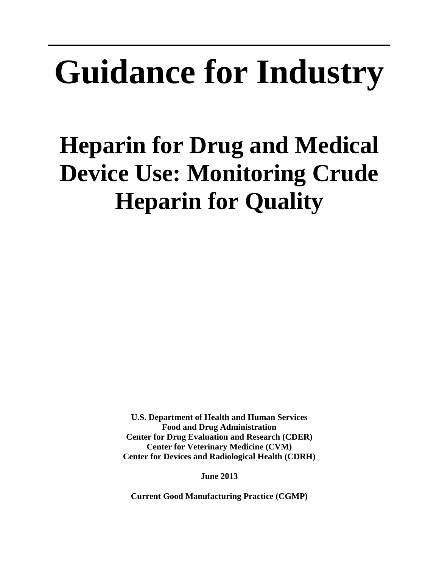# **Guidance for Industry**

# **Heparin for Drug and Medical Device Use: Monitoring Crude Heparin for Quality**

**U.S. Department of Health and Human Services Food and Drug Administration Center for Drug Evaluation and Research (CDER) Center for Veterinary Medicine (CVM) Center for Devices and Radiological Health (CDRH)**

**June 2013**

**Current Good Manufacturing Practice (CGMP)**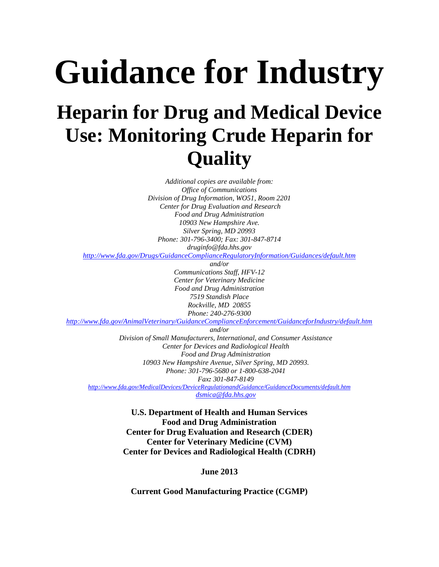# **Guidance for Industry Heparin for Drug and Medical Device Use: Monitoring Crude Heparin for Quality**

*Additional copies are available from: Office of Communications Division of Drug Information, WO51, Room 2201 Center for Drug Evaluation and Research Food and Drug Administration 10903 New Hampshire Ave. Silver Spring, MD 20993 Phone: 301-796-3400; Fax: 301-847-8714 druginfo@fda.hhs.gov* 

*<http://www.fda.gov/Drugs/GuidanceComplianceRegulatoryInformation/Guidances/default.htm>*

*and/or Communications Staff, HFV-12 Center for Veterinary Medicine Food and Drug Administration 7519 Standish Place Rockville, MD 20855 Phone: 240-276-9300*

*<http://www.fda.gov/AnimalVeterinary/GuidanceComplianceEnforcement/GuidanceforIndustry/default.htm>*

*and/or Division of Small Manufacturers, International, and Consumer Assistance*

*Center for Devices and Radiological Health Food and Drug Administration 10903 New Hampshire Avenue, Silver Spring, MD 20993. Phone: 301-796-5680 or 1-800-638-2041 Fax: 301-847-8149 <http://www.fda.gov/MedicalDevices/DeviceRegulationandGuidance/GuidanceDocuments/default.htm>*

*[dsmica@fda.hhs.gov](mailto:dsmica@fda.hhs.gov)*

**U.S. Department of Health and Human Services Food and Drug Administration Center for Drug Evaluation and Research (CDER) Center for Veterinary Medicine (CVM) Center for Devices and Radiological Health (CDRH)**

**June 2013**

**Current Good Manufacturing Practice (CGMP)**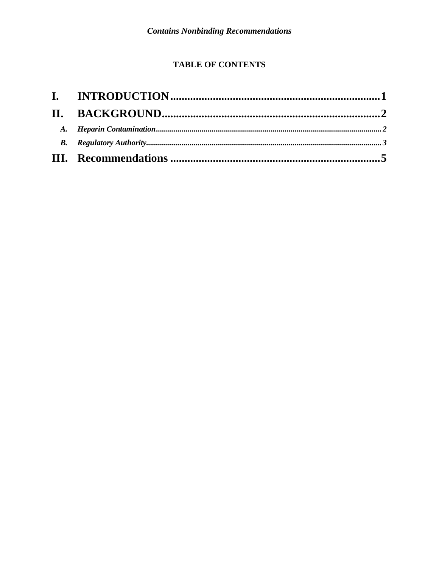### **TABLE OF CONTENTS**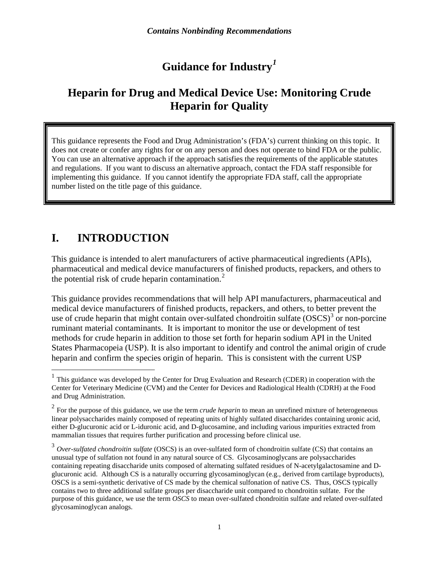# **Guidance for Industry***[1](#page-3-0)*

# **Heparin for Drug and Medical Device Use: Monitoring Crude Heparin for Quality**

This guidance represents the Food and Drug Administration's (FDA's) current thinking on this topic. It does not create or confer any rights for or on any person and does not operate to bind FDA or the public. You can use an alternative approach if the approach satisfies the requirements of the applicable statutes and regulations. If you want to discuss an alternative approach, contact the FDA staff responsible for implementing this guidance. If you cannot identify the appropriate FDA staff, call the appropriate number listed on the title page of this guidance.

# **I. INTRODUCTION**

This guidance is intended to alert manufacturers of active pharmaceutical ingredients (APIs), pharmaceutical and medical device manufacturers of finished products, repackers, and others to the potential risk of crude heparin contamination. $<sup>2</sup>$  $<sup>2</sup>$  $<sup>2</sup>$ </sup>

This guidance provides recommendations that will help API manufacturers, pharmaceutical and medical device manufacturers of finished products, repackers, and others, to better prevent the use of crude heparin that might contain over-sulfated chondroitin sulfate  $(SSCS)^3$  $(SSCS)^3$  or non-porcine ruminant material contaminants. It is important to monitor the use or development of test methods for crude heparin in addition to those set forth for heparin sodium API in the United States Pharmacopeia (USP). It is also important to identify and control the animal origin of crude heparin and confirm the species origin of heparin. This is consistent with the current USP

<span id="page-3-0"></span><sup>&</sup>lt;sup>1</sup> This guidance was developed by the Center for Drug Evaluation and Research (CDER) in cooperation with the Center for Veterinary Medicine (CVM) and the Center for Devices and Radiological Health (CDRH) at the Food and Drug Administration.

<span id="page-3-1"></span><sup>&</sup>lt;sup>2</sup> For the purpose of this guidance, we use the term *crude heparin* to mean an unrefined mixture of heterogeneous linear polysaccharides mainly composed of repeating units of highly sulfated disaccharides containing uronic acid, either D-glucuronic acid or L-iduronic acid, and D-glucosamine, and including various impurities extracted from mammalian tissues that requires further purification and processing before clinical use.

<span id="page-3-2"></span><sup>3</sup> *Over-sulfated chondroitin sulfate* (OSCS) is an over-sulfated form of chondroitin sulfate (CS) that contains an unusual type of sulfation not found in any natural source of CS. Glycosaminoglycans are polysaccharides containing repeating disaccharide units composed of alternating sulfated residues of N-acetylgalactosamine and Dglucuronic acid. Although CS is a naturally occurring glycosaminoglycan (e.g., derived from cartilage byproducts), OSCS is a semi-synthetic derivative of CS made by the chemical sulfonation of native CS. Thus, OSCS typically contains two to three additional sulfate groups per disaccharide unit compared to chondroitin sulfate. For the purpose of this guidance, we use the term *OSCS* to mean over-sulfated chondroitin sulfate and related over-sulfated glycosaminoglycan analogs.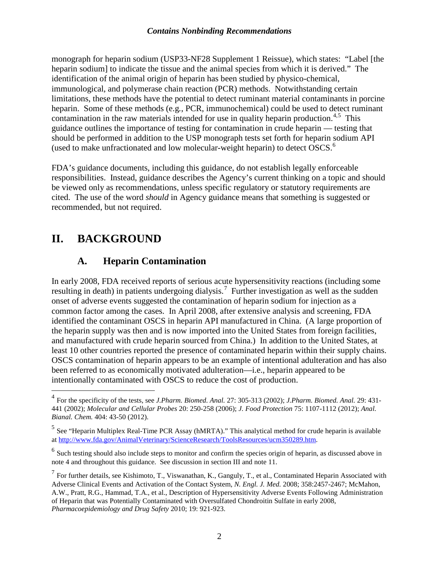#### *Contains Nonbinding Recommendations*

monograph for heparin sodium (USP33-NF28 Supplement 1 Reissue), which states: "Label [the heparin sodium] to indicate the tissue and the animal species from which it is derived." The identification of the animal origin of heparin has been studied by physico-chemical, immunological, and polymerase chain reaction (PCR) methods. Notwithstanding certain limitations, these methods have the potential to detect ruminant material contaminants in porcine heparin. Some of these methods (e.g*.*, PCR, immunochemical) could be used to detect ruminant contamination in the raw materials intended for use in quality heparin production.<sup>[4](#page-4-0),[5](#page-4-1)</sup> This guidance outlines the importance of testing for contamination in crude heparin — testing that should be performed in addition to the USP monograph tests set forth for heparin sodium API (used to make unfractionated and low molecular-weight heparin) to detect OSCS.[6](#page-4-2)

FDA's guidance documents, including this guidance, do not establish legally enforceable responsibilities. Instead, guidance describes the Agency's current thinking on a topic and should be viewed only as recommendations, unless specific regulatory or statutory requirements are cited. The use of the word *should* in Agency guidance means that something is suggested or recommended, but not required.

# **II. BACKGROUND**

#### **A. Heparin Contamination**

In early 2008, FDA received reports of serious acute hypersensitivity reactions (including some resulting in death) in patients undergoing dialysis.<sup>[7](#page-4-3)</sup> Further investigation as well as the sudden onset of adverse events suggested the contamination of heparin sodium for injection as a common factor among the cases. In April 2008, after extensive analysis and screening, FDA identified the contaminant OSCS in heparin API manufactured in China. (A large proportion of the heparin supply was then and is now imported into the United States from foreign facilities, and manufactured with crude heparin sourced from China.) In addition to the United States, at least 10 other countries reported the presence of contaminated heparin within their supply chains. OSCS contamination of heparin appears to be an example of intentional adulteration and has also been referred to as economically motivated adulteration—i.e., heparin appeared to be intentionally contaminated with OSCS to reduce the cost of production.

<span id="page-4-0"></span> <sup>4</sup> For the specificity of the tests, see *J.Pharm. Biomed. Anal.* 27: 305-313 (2002); *J.Pharm. Biomed. Anal.* 29: 431- 441 (2002); *Molecular and Cellular Probes* 20: 250-258 (2006); *J. Food Protection* 75: 1107-1112 (2012); *Anal. Bianal. Chem.* 404: 43-50 (2012).

<span id="page-4-1"></span><sup>&</sup>lt;sup>5</sup> See "Heparin Multiplex Real-Time PCR Assay (hMRTA)." This analytical method for crude heparin is available a[t http://www.fda.gov/AnimalVeterinary/ScienceResearch/ToolsResources/ucm350289.htm.](http://www.fda.gov/AnimalVeterinary/ScienceResearch/ToolsResources/ucm350289.htm)

<span id="page-4-2"></span><sup>&</sup>lt;sup>6</sup> Such testing should also include steps to monitor and confirm the species origin of heparin, as discussed above in note 4 and throughout this guidance. See discussion in section III and note 11.

<span id="page-4-3"></span> $<sup>7</sup>$  For further details, see Kishimoto, T., Viswanathan, K., Ganguly, T., et al., Contaminated Heparin Associated with</sup> Adverse Clinical Events and Activation of the Contact System, *N. Engl. J. Med.* 2008; 358:2457-2467; McMahon, A.W., Pratt, R.G., Hammad, T.A., et al., Description of Hypersensitivity Adverse Events Following Administration of Heparin that was Potentially Contaminated with Oversulfated Chondroitin Sulfate in early 2008, *Pharmacoepidemiology and Drug Safety* 2010; 19: 921-923.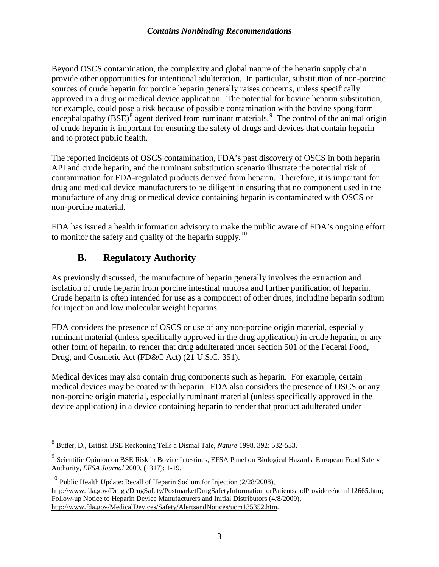Beyond OSCS contamination, the complexity and global nature of the heparin supply chain provide other opportunities for intentional adulteration. In particular, substitution of non-porcine sources of crude heparin for porcine heparin generally raises concerns, unless specifically approved in a drug or medical device application. The potential for bovine heparin substitution, for example, could pose a risk because of possible contamination with the bovine spongiform encephalopathy (BSE)<sup>[8](#page-5-0)</sup> agent derived from ruminant materials.<sup>[9](#page-5-1)</sup> The control of the animal origin of crude heparin is important for ensuring the safety of drugs and devices that contain heparin and to protect public health.

The reported incidents of OSCS contamination, FDA's past discovery of OSCS in both heparin API and crude heparin, and the ruminant substitution scenario illustrate the potential risk of contamination for FDA-regulated products derived from heparin. Therefore, it is important for drug and medical device manufacturers to be diligent in ensuring that no component used in the manufacture of any drug or medical device containing heparin is contaminated with OSCS or non-porcine material.

FDA has issued a health information advisory to make the public aware of FDA's ongoing effort to monitor the safety and quality of the heparin supply.<sup>[10](#page-5-2)</sup>

### **B. Regulatory Authority**

As previously discussed, the manufacture of heparin generally involves the extraction and isolation of crude heparin from porcine intestinal mucosa and further purification of heparin. Crude heparin is often intended for use as a component of other drugs, including heparin sodium for injection and low molecular weight heparins.

FDA considers the presence of OSCS or use of any non-porcine origin material, especially ruminant material (unless specifically approved in the drug application) in crude heparin, or any other form of heparin, to render that drug adulterated under section 501 of the Federal Food, Drug, and Cosmetic Act (FD&C Act) (21 U.S.C. 351).

Medical devices may also contain drug components such as heparin. For example, certain medical devices may be coated with heparin. FDA also considers the presence of OSCS or any non-porcine origin material, especially ruminant material (unless specifically approved in the device application) in a device containing heparin to render that product adulterated under

<span id="page-5-0"></span> <sup>8</sup> Butler, D., British BSE Reckoning Tells a Dismal Tale, *Nature* 1998, 392: 532-533.

<span id="page-5-1"></span><sup>9</sup> Scientific Opinion on BSE Risk in Bovine Intestines, EFSA Panel on Biological Hazards, European Food Safety Authority*, EFSA Journal* 2009, (1317): 1-19.

<span id="page-5-2"></span><sup>&</sup>lt;sup>10</sup> Public Health Update: Recall of Heparin Sodium for Injection  $(2/28/2008)$ , [http://www.fda.gov/Drugs/DrugSafety/PostmarketDrugSafetyInformationforPatientsandProviders/ucm112665.htm;](http://www.fda.gov/Drugs/DrugSafety/PostmarketDrugSafetyInformationforPatientsandProviders/ucm112665.htm) Follow-up Notice to Heparin Device Manufacturers and Initial Distributors (4/8/2009), [http://www.fda.gov/MedicalDevices/Safety/AlertsandNotices/ucm135352.htm.](http://www.fda.gov/MedicalDevices/Safety/AlertsandNotices/ucm135352.htm)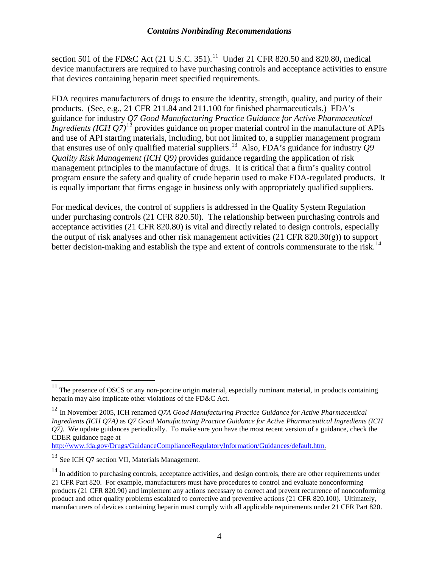#### *Contains Nonbinding Recommendations*

section 501 of the FD&C Act  $(21 \text{ U.S.C. } 351)$ .<sup>11</sup> Under 21 CFR 820.50 and 820.80, medical device manufacturers are required to have purchasing controls and acceptance activities to ensure that devices containing heparin meet specified requirements.

FDA requires manufacturers of drugs to ensure the identity, strength, quality, and purity of their products. (See, e.g., 21 CFR 211.84 and 211.100 for finished pharmaceuticals.) FDA's guidance for industry *Q7 Good Manufacturing Practice Guidance for Active Pharmaceutical Ingredients (ICH Q7)*<sup>[12](#page-6-1)</sup> provides guidance on proper material control in the manufacture of APIs and use of API starting materials, including, but not limited to, a supplier management program that ensures use of only qualified material suppliers. [13](#page-6-2) Also, FDA's guidance for industry *Q9 Quality Risk Management (ICH Q9)* provides guidance regarding the application of risk management principles to the manufacture of drugs. It is critical that a firm's quality control program ensure the safety and quality of crude heparin used to make FDA-regulated products. It is equally important that firms engage in business only with appropriately qualified suppliers.

For medical devices, the control of suppliers is addressed in the Quality System Regulation under purchasing controls (21 CFR 820.50). The relationship between purchasing controls and acceptance activities (21 CFR 820.80) is vital and directly related to design controls, especially the output of risk analyses and other risk management activities (21 CFR 820.30(g)) to support better decision-making and establish the type and extent of controls commensurate to the risk.<sup>[14](#page-6-3)</sup>

<http://www.fda.gov/Drugs/GuidanceComplianceRegulatoryInformation/Guidances/default.htm>*.*

<span id="page-6-0"></span> $11$  The presence of OSCS or any non-porcine origin material, especially ruminant material, in products containing heparin may also implicate other violations of the FD&C Act.

<span id="page-6-1"></span><sup>12</sup> In November 2005, ICH renamed *Q7A Good Manufacturing Practice Guidance for Active Pharmaceutical Ingredients (ICH Q7A)* as *Q7 Good Manufacturing Practice Guidance for Active Pharmaceutical Ingredients (ICH Q7)*. We update guidances periodically. To make sure you have the most recent version of a guidance, check the CDER guidance page at

<span id="page-6-2"></span><sup>&</sup>lt;sup>13</sup> See ICH O7 section VII, Materials Management.

<span id="page-6-3"></span><sup>&</sup>lt;sup>14</sup> In addition to purchasing controls, acceptance activities, and design controls, there are other requirements under 21 CFR Part 820. For example, manufacturers must have procedures to control and evaluate nonconforming products (21 CFR 820.90) and implement any actions necessary to correct and prevent recurrence of nonconforming product and other quality problems escalated to corrective and preventive actions (21 CFR 820.100). Ultimately, manufacturers of devices containing heparin must comply with all applicable requirements under 21 CFR Part 820.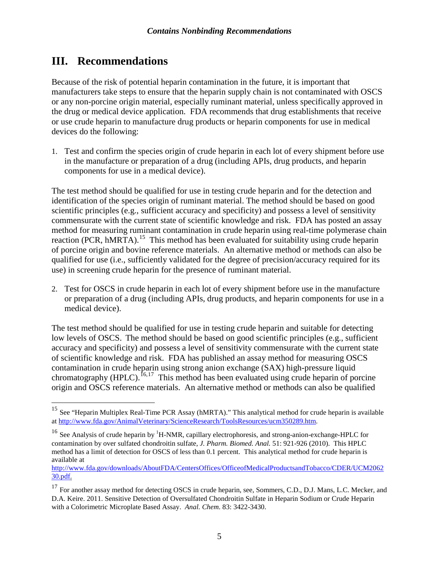## **III. Recommendations**

Because of the risk of potential heparin contamination in the future, it is important that manufacturers take steps to ensure that the heparin supply chain is not contaminated with OSCS or any non-porcine origin material, especially ruminant material, unless specifically approved in the drug or medical device application. FDA recommends that drug establishments that receive or use crude heparin to manufacture drug products or heparin components for use in medical devices do the following:

1. Test and confirm the species origin of crude heparin in each lot of every shipment before use in the manufacture or preparation of a drug (including APIs, drug products, and heparin components for use in a medical device).

The test method should be qualified for use in testing crude heparin and for the detection and identification of the species origin of ruminant material. The method should be based on good scientific principles (e.g., sufficient accuracy and specificity) and possess a level of sensitivity commensurate with the current state of scientific knowledge and risk. FDA has posted an assay method for measuring ruminant contamination in crude heparin using real-time polymerase chain reaction (PCR, hMRTA).<sup>15</sup> This method has been evaluated for suitability using crude heparin of porcine origin and bovine reference materials. An alternative method or methods can also be qualified for use (i.e., sufficiently validated for the degree of precision/accuracy required for its use) in screening crude heparin for the presence of ruminant material.

2. Test for OSCS in crude heparin in each lot of every shipment before use in the manufacture or preparation of a drug (including APIs, drug products, and heparin components for use in a medical device).

The test method should be qualified for use in testing crude heparin and suitable for detecting low levels of OSCS. The method should be based on good scientific principles (e.g., sufficient accuracy and specificity) and possess a level of sensitivity commensurate with the current state of scientific knowledge and risk. FDA has published an assay method for measuring OSCS contamination in crude heparin using strong anion exchange (SAX) high-pressure liquid chromatography (HPLC).<sup>[16](#page-7-1),17</sup> This method has been evaluated using crude heparin of porcine origin and OSCS reference materials. An alternative method or methods can also be qualified

[http://www.fda.gov/downloads/AboutFDA/CentersOffices/OfficeofMedicalProductsandTobacco/CDER/UCM2062](http://www.fda.gov/downloads/AboutFDA/CentersOffices/OfficeofMedicalProductsandTobacco/CDER/UCM206230.pdf) [30.pdf.](http://www.fda.gov/downloads/AboutFDA/CentersOffices/OfficeofMedicalProductsandTobacco/CDER/UCM206230.pdf)

<span id="page-7-0"></span><sup>&</sup>lt;sup>15</sup> See "Heparin Multiplex Real-Time PCR Assay (hMRTA)." This analytical method for crude heparin is available a[t http://www.fda.gov/AnimalVeterinary/ScienceResearch/ToolsResources/ucm350289.htm.](http://www.fda.gov/AnimalVeterinary/ScienceResearch/ToolsResources/ucm350289.htm)

<span id="page-7-1"></span><sup>&</sup>lt;sup>16</sup> See Analysis of crude heparin by <sup>1</sup>H-NMR, capillary electrophoresis, and strong-anion-exchange-HPLC for contamination by over sulfated chondroitin sulfate, *J. Pharm. Biomed. Anal.* 51: 921-926 (2010). This HPLC method has a limit of detection for OSCS of less than 0.1 percent. This analytical method for crude heparin is available at

<span id="page-7-2"></span><sup>&</sup>lt;sup>17</sup> For another assay method for detecting OSCS in crude heparin, see, Sommers, C.D., D.J. Mans, L.C. Mecker, and D.A. Keire. 2011. Sensitive Detection of Oversulfated Chondroitin Sulfate in Heparin Sodium or Crude Heparin with a Colorimetric Microplate Based Assay. *Anal. Chem*. 83: 3422-3430.